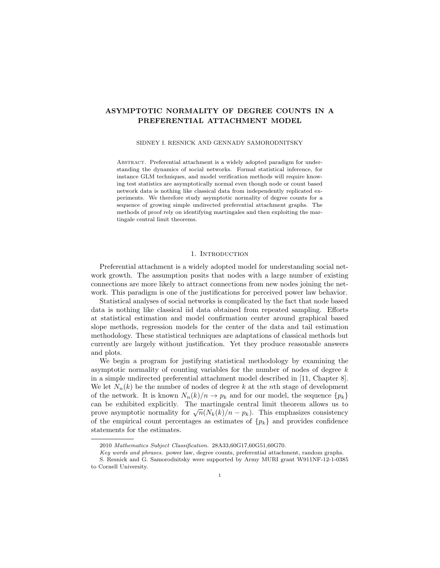# ASYMPTOTIC NORMALITY OF DEGREE COUNTS IN A PREFERENTIAL ATTACHMENT MODEL

#### SIDNEY I. RESNICK AND GENNADY SAMORODNITSKY

ABSTRACT. Preferential attachment is a widely adopted paradigm for understanding the dynamics of social networks. Formal statistical inference, for instance GLM techniques, and model verification methods will require knowing test statistics are asymptotically normal even though node or count based network data is nothing like classical data from independently replicated experiments. We therefore study asymptotic normality of degree counts for a sequence of growing simple undirected preferential attachment graphs. The methods of proof rely on identifying martingales and then exploiting the martingale central limit theorems.

# 1. INTRODUCTION

Preferential attachment is a widely adopted model for understanding social network growth. The assumption posits that nodes with a large number of existing connections are more likely to attract connections from new nodes joining the network. This paradigm is one of the justifications for perceived power law behavior.

Statistical analyses of social networks is complicated by the fact that node based data is nothing like classical iid data obtained from repeated sampling. Efforts at statistical estimation and model confirmation center around graphical based slope methods, regression models for the center of the data and tail estimation methodology. These statistical techniques are adaptations of classical methods but currently are largely without justification. Yet they produce reasonable answers and plots.

We begin a program for justifying statistical methodology by examining the asymptotic normality of counting variables for the number of nodes of degree  $k$ in a simple undirected preferential attachment model described in [11, Chapter 8]. We let  $N_n(k)$  be the number of nodes of degree k at the nth stage of development of the network. It is known  $N_n(k)/n \to p_k$  and for our model, the sequence  $\{p_k\}$ can be exhibited explicitly. The martingale central limit theorem allows us to can be exhibited explicitly. The maitingale central limit theorem allows us to prove asymptotic normality for  $\sqrt{n}(N_k(k)/n - p_k)$ . This emphasizes consistency of the empirical count percentages as estimates of  $\{p_k\}$  and provides confidence statements for the estimates.

<sup>2010</sup> Mathematics Subject Classification. 28A33,60G17,60G51,60G70.

Key words and phrases. power law, degree counts, preferential attachment, random graphs.

S. Resnick and G. Samorodnitsky were supported by Army MURI grant W911NF-12-1-0385 to Cornell University.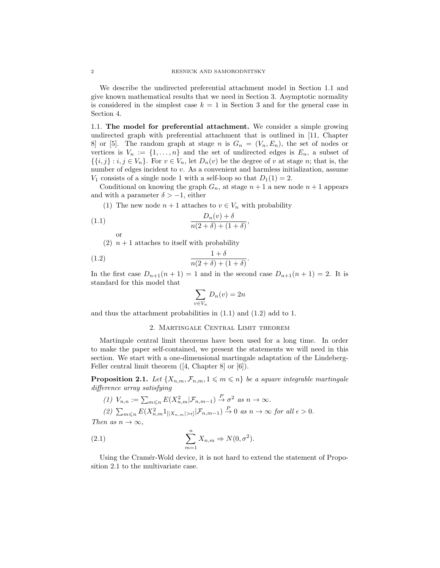We describe the undirected preferential attachment model in Section 1.1 and give known mathematical results that we need in Section 3. Asymptotic normality is considered in the simplest case  $k = 1$  in Section 3 and for the general case in Section 4.

1.1. The model for preferential attachment. We consider a simple growing undirected graph with preferential attachment that is outlined in [11, Chapter 8] or [5]. The random graph at stage n is  $G_n = (V_n, E_n)$ , the set of nodes or vertices is  $V_n := \{1, \ldots, n\}$  and the set of undirected edges is  $E_n$ , a subset of  $\{\{i,j\}: i,j \in V_n\}$ . For  $v \in V_n$ , let  $D_n(v)$  be the degree of v at stage n; that is, the number of edges incident to v. As a convenient and harmless initialization, assume  $V_1$  consists of a single node 1 with a self-loop so that  $D_1(1) = 2$ .

Conditional on knowing the graph  $G_n$ , at stage  $n+1$  a new node  $n+1$  appears and with a parameter  $\delta > -1$ , either

(1) The new node  $n + 1$  attaches to  $v \in V_n$  with probability

$$
(1.1)\qquad \qquad \frac{D_n(v) + \delta}{n(2+\delta) + (1+\delta)},
$$

(2)  $n+1$  attaches to itself with probability

$$
(1.2)\qquad \qquad \frac{1+\delta}{n(2+\delta)+(1+\delta)}.
$$

In the first case  $D_{n+1}(n+1) = 1$  and in the second case  $D_{n+1}(n+1) = 2$ . It is standard for this model that

$$
\sum_{v \in V_n} D_n(v) = 2n
$$

and thus the attachment probabilities in (1.1) and (1.2) add to 1.

### 2. Martingale Central Limit theorem

Martingale central limit theorems have been used for a long time. In order to make the paper self-contained, we present the statements we will need in this section. We start with a one-dimensional martingale adaptation of the Lindeberg-Feller central limit theorem ([4, Chapter 8] or [6]).

**Proposition 2.1.** Let  $\{X_{n,m}, \mathcal{F}_{n,m}, 1 \leq m \leq n\}$  be a square integrable martingale difference array satisfying

$$
(1) V_{n,n} := \sum_{m \leq n} E(X_{n,m}^2 | \mathcal{F}_{n,m-1}) \xrightarrow{P} \sigma^2 \text{ as } n \to \infty.
$$
  

$$
(2) \sum_{m \leq n} E(X_{n,m}^2 1_{[|X_{n,m}| > \epsilon]} | \mathcal{F}_{n,m-1}) \xrightarrow{P} 0 \text{ as } n \to \infty \text{ for all } \epsilon > 0.
$$

Then as  $n \to \infty$ ,

or

(2.1) 
$$
\sum_{m=1}^{n} X_{n,m} \Rightarrow N(0, \sigma^2).
$$

Using the Cramér-Wold device, it is not hard to extend the statement of Proposition 2.1 to the multivariate case.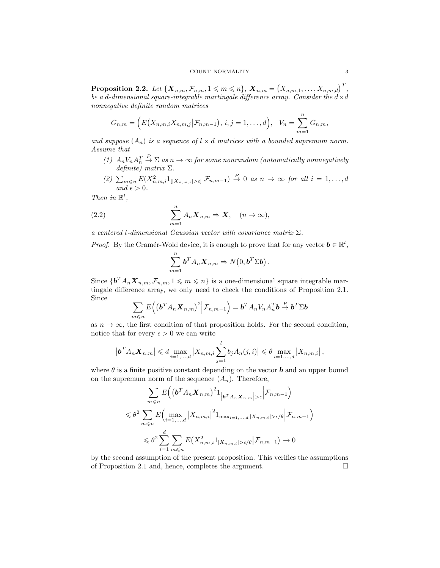$\textbf{Proposition 2.2.} \ \textit{Let} \ \{\boldsymbol{X}_{n,m}, \mathcal{F}_{n,m}, 1 \leqslant m \leqslant n\}, \ \boldsymbol{X}_{n,m} = \left(X_{n,m,1}, \ldots, X_{n,m,d}\right)^T,$ be a d-dimensional square-integrable martingale difference array. Consider the  $d \times d$ nonnegative definite random matrices

$$
G_{n,m} = (E(X_{n,m,i}X_{n,m,j}|\mathcal{F}_{n,m-1}), i,j = 1,...,d), V_n = \sum_{m=1}^n G_{n,m},
$$

and suppose  $(A_n)$  is a sequence of  $l \times d$  matrices with a bounded supremum norm. Assume that

- $(1)$   $A_n V_n A_n^T$  $\stackrel{P}{\to} \Sigma$  as  $n \to \infty$  for some nonrandom (automatically nonnegatively definite) matrix  $\Sigma$ .
- (2)  $\sum_{m\leqslant n} E(X_{n,m,i}^2 1_{\lfloor |X_{n,m,i}|>\epsilon]}\big|\mathcal{F}_{n,m-1}) \stackrel{P}{\to} 0$  as  $n\to\infty$  for all  $i=1,\ldots,d$ and  $\epsilon > 0$ .

Then in  $\mathbb{R}^l$ ,

(2.2) 
$$
\sum_{m=1}^{n} A_n \mathbf{X}_{n,m} \Rightarrow \mathbf{X}, \quad (n \to \infty),
$$

a centered l-dimensional Gaussian vector with covariance matrix  $\Sigma$ .

*Proof.* By the Cramér-Wold device, it is enough to prove that for any vector  $\mathbf{b} \in \mathbb{R}^l$ ,

$$
\sum_{m=1}^n \boldsymbol{b}^T A_n \boldsymbol{X}_{n,m} \Rightarrow N(0, \boldsymbol{b}^T \Sigma \boldsymbol{b}).
$$

Since  $\{ \boldsymbol{b}^T A_n \boldsymbol{X}_{n,m}, \mathcal{F}_{n,m}, 1 \leqslant m \leqslant n \}$  is a one-dimensional square integrable martingale difference array, we only need to check the conditions of Proposition 2.1. Since

$$
\sum_{m\leq n} E\Big(\big(\boldsymbol b^T A_n \boldsymbol X_{n,m}\big)^2\Big|\mathcal{F}_{n,m-1}\Big) = \boldsymbol b^T A_n V_n A_n^T \boldsymbol b \stackrel{P}{\to} \boldsymbol b^T \Sigma \boldsymbol b
$$

as  $n \to \infty$ , the first condition of that proposition holds. For the second condition, notice that for every  $\epsilon > 0$  we can write

$$
\left| \boldsymbol{b}^T A_n \boldsymbol{X}_{n,m} \right| \leq d \max_{i=1,\dots,d} \left| X_{n,m,i} \sum_{j=1}^l b_j A_n(j,i) \right| \leq \theta \max_{i=1,\dots,d} \left| X_{n,m,i} \right|,
$$

where  $\theta$  is a finite positive constant depending on the vector **b** and an upper bound on the supremum norm of the sequence  $(A_n)$ . Therefore,

$$
\sum_{m \leq n} E\left( \left( \boldsymbol{b}^T A_n \boldsymbol{X}_{n,m} \right)^2 1_{\left| \boldsymbol{b}^T A_n \boldsymbol{X}_{n,m} \right| > \epsilon} \middle| \mathcal{F}_{n,m-1} \right)
$$
\n
$$
\leq \theta^2 \sum_{m \leq n} E\left( \max_{i=1,\dots,d} \left| X_{n,m,i} \right|^2 1_{\max_{i=1,\dots,d} |X_{n,m,i}| > \epsilon/\theta} \middle| \mathcal{F}_{n,m-1} \right)
$$
\n
$$
\leq \theta^2 \sum_{i=1}^d \sum_{m \leq n} E\left( X_{n,m,i}^2 1_{\left| X_{n,m,i} \right| > \epsilon/\theta} \middle| \mathcal{F}_{n,m-1} \right) \to 0
$$

by the second assumption of the present proposition. This verifies the assumptions of Proposition 2.1 and, hence, completes the argument.  $\Box$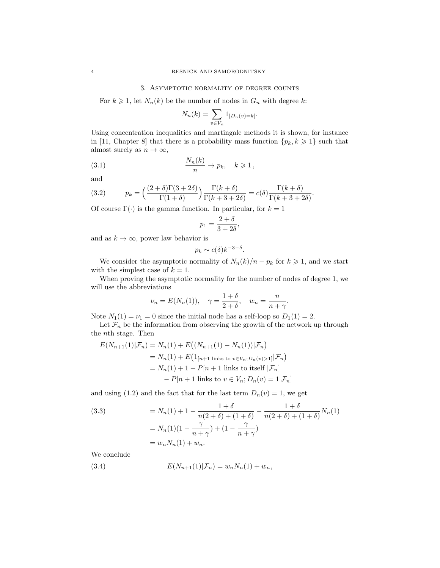### 3. Asymptotic normality of degree counts

For  $k \geq 1$ , let  $N_n(k)$  be the number of nodes in  $G_n$  with degree k:

$$
N_n(k) = \sum_{v \in V_n} 1_{[D_n(v) = k]}.
$$

Using concentration inequalities and martingale methods it is shown, for instance in [11, Chapter 8] that there is a probability mass function  $\{p_k, k \geq 1\}$  such that almost surely as  $n \to \infty$ ,

(3.1) 
$$
\frac{N_n(k)}{n} \to p_k, \quad k \geq 1,
$$

and

(3.2) 
$$
p_k = \left(\frac{(2+\delta)\Gamma(3+2\delta)}{\Gamma(1+\delta)}\right)\frac{\Gamma(k+\delta)}{\Gamma(k+3+2\delta)} = c(\delta)\frac{\Gamma(k+\delta)}{\Gamma(k+3+2\delta)}.
$$

Of course  $\Gamma(\cdot)$  is the gamma function. In particular, for  $k = 1$ 

$$
p_1 = \frac{2+\delta}{3+2\delta},
$$

and as  $k \to \infty$ , power law behavior is

$$
p_k \sim c(\delta) k^{-3-\delta}.
$$

We consider the asymptotic normality of  $N_n(k)/n - p_k$  for  $k \geq 1$ , and we start with the simplest case of  $k = 1$ .

When proving the asymptotic normality for the number of nodes of degree 1, we will use the abbreviations

$$
\nu_n = E(N_n(1)), \quad \gamma = \frac{1+\delta}{2+\delta}, \quad w_n = \frac{n}{n+\gamma}.
$$

Note  $N_1(1) = \nu_1 = 0$  since the initial node has a self-loop so  $D_1(1) = 2$ .

Let  $\mathcal{F}_n$  be the information from observing the growth of the network up through the nth stage. Then

$$
E(N_{n+1}(1)|\mathcal{F}_n) = N_n(1) + E((N_{n+1}(1) - N_n(1))|\mathcal{F}_n)
$$
  
=  $N_n(1) + E(1_{[n+1 \text{ links to } v \in V_n; D_n(v) > 1]}|\mathcal{F}_n)$   
=  $N_n(1) + 1 - P[n+1 \text{ links to itself } |\mathcal{F}_n]$   
-  $P[n+1 \text{ links to } v \in V_n; D_n(v) = 1|\mathcal{F}_n]$ 

and using (1.2) and the fact that for the last term  $D_n(v) = 1$ , we get

(3.3) 
$$
= N_n(1) + 1 - \frac{1+\delta}{n(2+\delta) + (1+\delta)} - \frac{1+\delta}{n(2+\delta) + (1+\delta)} N_n(1)
$$

$$
= N_n(1)(1 - \frac{\gamma}{n+\gamma}) + (1 - \frac{\gamma}{n+\gamma})
$$

$$
= w_n N_n(1) + w_n.
$$

We conclude

(3.4) 
$$
E(N_{n+1}(1)|\mathcal{F}_n) = w_n N_n(1) + w_n,
$$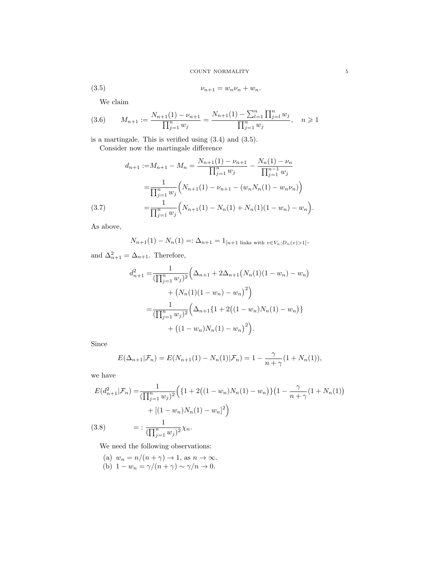(3.5) 
$$
v_{n+1} = w_n v_n + w_n.
$$

We claim

$$
(3.6) \qquad M_{n+1} := \frac{N_{n+1}(1) - \nu_{n+1}}{\prod_{j=1}^{n} w_j} = \frac{N_{n+1}(1) - \sum_{l=1}^{n} \prod_{j=l}^{n} w_j}{\prod_{j=1}^{n} w_j}, \quad n \geq 1
$$

is a martingale. This is verified using (3.4) and (3.5). Consider now the martingale difference

$$
d_{n+1} := M_{n+1} - M_n = \frac{N_{n+1}(1) - \nu_{n+1}}{\prod_{j=1}^n w_j} - \frac{N_n(1) - \nu_n}{\prod_{j=1}^{n-1} w_j}
$$

$$
= \frac{1}{\prod_{j=1}^n w_j} \left( N_{n+1}(1) - \nu_{n+1} - (w_n N_n(1) - w_n \nu_n) \right)
$$

$$
= \frac{1}{\prod_{j=1}^n w_j} \left( N_{n+1}(1) - N_n(1) + N_n(1)(1 - w_n) - w_n \right).
$$
(3.7)

As above,

$$
N_{n+1}(1) - N_n(1) =: \Delta_{n+1} = 1_{[n+1 \text{ links with } v \in V_n; D_n(v) > 1]},
$$

and  $\Delta_{n+1}^2 = \Delta_{n+1}$ . Therefore,

$$
d_{n+1}^{2} = \frac{1}{(\prod_{j=1}^{n} w_{j})^{2}} \left( \Delta_{n+1} + 2\Delta_{n+1} (N_{n}(1)(1 - w_{n}) - w_{n}) + (N_{n}(1)(1 - w_{n}) - w_{n})^{2} \right)
$$
  

$$
= \frac{1}{(\prod_{j=1}^{n} w_{j})^{2}} \left( \Delta_{n+1} \{ 1 + 2((1 - w_{n})N_{n}(1) - w_{n}) \} + ((1 - w_{n})N_{n}(1) - w_{n})^{2} \right).
$$

Since

$$
E(\Delta_{n+1}|\mathcal{F}_n) = E(N_{n+1}(1) - N_n(1)|\mathcal{F}_n) = 1 - \frac{\gamma}{n+\gamma}(1 + N_n(1)),
$$

we have

$$
E(d_{n+1}^2|\mathcal{F}_n) = \frac{1}{(\prod_{j=1}^n w_j)^2} \Big( \{1 + 2\big((1 - w_n)N_n(1) - w_n\big)\} \big(1 - \frac{\gamma}{n + \gamma}(1 + N_n(1)) + \left[(1 - w_n)N_n(1) - w_n\right]^2 \Big)
$$
\n
$$
(3.8) = \frac{1}{(\prod_{j=1}^n w_j)^2} \chi_n.
$$

We need the following observations:

(a) 
$$
w_n = n/(n + \gamma) \to 1
$$
, as  $n \to \infty$ .  
(b)  $1 - w_n = \gamma/(n + \gamma) \sim \gamma/n \to 0$ .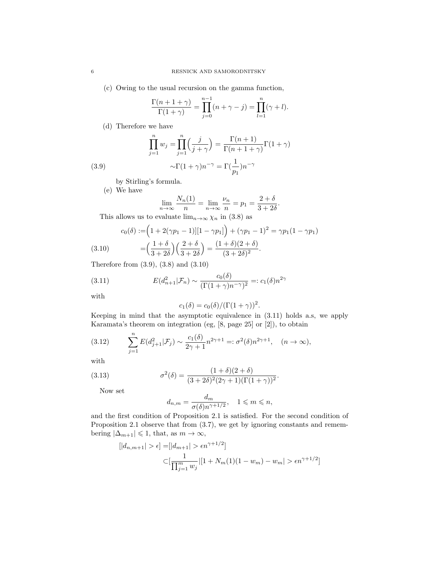(c) Owing to the usual recursion on the gamma function,

$$
\frac{\Gamma(n+1+\gamma)}{\Gamma(1+\gamma)} = \prod_{j=0}^{n-1} (n+\gamma-j) = \prod_{l=1}^{n} (\gamma+l).
$$

(d) Therefore we have

$$
\prod_{j=1}^{n} w_j = \prod_{j=1}^{n} \left( \frac{j}{j+\gamma} \right) = \frac{\Gamma(n+1)}{\Gamma(n+1+\gamma)} \Gamma(1+\gamma)
$$

$$
\sim \Gamma(1+\gamma)n^{-\gamma} = \Gamma\left(\frac{1}{p_1}\right)n^{-\gamma}
$$

by Stirling's formula.

(e) We have

$$
\lim_{n \to \infty} \frac{N_n(1)}{n} = \lim_{n \to \infty} \frac{\nu_n}{n} = p_1 = \frac{2 + \delta}{3 + 2\delta}.
$$

This allows us to evaluate  $\lim_{n\to\infty}\chi_n$  in (3.8) as

(3.10) 
$$
c_0(\delta) := (1 + 2(\gamma p_1 - 1)][1 - \gamma p_1]) + (\gamma p_1 - 1)^2 = \gamma p_1 (1 - \gamma p_1)
$$

$$
= (\frac{1 + \delta}{3 + 2\delta})(\frac{2 + \delta}{3 + 2\delta}) = \frac{(1 + \delta)(2 + \delta)}{(3 + 2\delta)^2}.
$$

Therefore from (3.9), (3.8) and (3.10)

(3.11) 
$$
E(d_{n+1}^2|\mathcal{F}_n) \sim \frac{c_0(\delta)}{(\Gamma(1+\gamma)n^{-\gamma})^2} =: c_1(\delta)n^{2\gamma}
$$

with

$$
c_1(\delta) = c_0(\delta) / (\Gamma(1+\gamma))^2.
$$

Keeping in mind that the asymptotic equivalence in (3.11) holds a.s, we apply Karamata's theorem on integration (eg, [8, page 25] or [2]), to obtain

(3.12) 
$$
\sum_{j=1}^{n} E(d_{j+1}^{2} | \mathcal{F}_{j}) \sim \frac{c_{1}(\delta)}{2\gamma + 1} n^{2\gamma + 1} =: \sigma^{2}(\delta) n^{2\gamma + 1}, \quad (n \to \infty),
$$

with

(3.13) 
$$
\sigma^{2}(\delta) = \frac{(1+\delta)(2+\delta)}{(3+2\delta)^{2}(2\gamma+1)(\Gamma(1+\gamma))^{2}}.
$$

Now set

$$
d_{n,m} = \frac{d_m}{\sigma(\delta)n^{\gamma + 1/2}}, \quad 1 \leqslant m \leqslant n,
$$

and the first condition of Proposition 2.1 is satisfied. For the second condition of Proposition 2.1 observe that from  $(3.7)$ , we get by ignoring constants and remembering  $|\Delta_{m+1}| \leq 1$ , that, as  $m \to \infty$ ,

$$
[|d_{n,m+1}| > \epsilon] = [|d_{m+1}| > \epsilon n^{\gamma+1/2}]
$$
  

$$
\subset [\frac{1}{\prod_{j=1}^{m} w_j} | [1 + N_m(1)(1 - w_m) - w_m | > \epsilon n^{\gamma+1/2}]
$$

(3.9)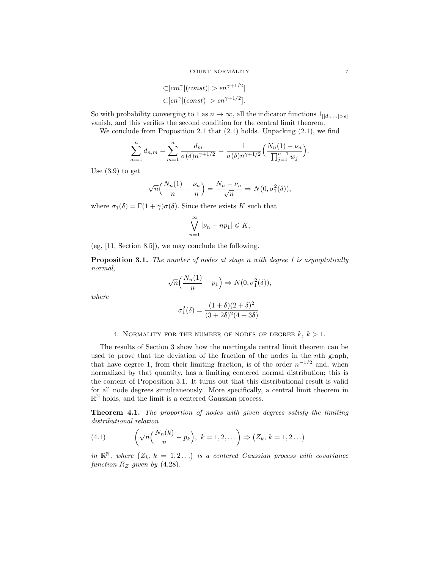$$
\subset [cm^{\gamma}|(const)| > \epsilon n^{\gamma+1/2}]
$$
  

$$
\subset [cn^{\gamma}|(const)| > \epsilon n^{\gamma+1/2}].
$$

So with probability converging to 1 as  $n \to \infty$ , all the indicator functions  $1_{[|d_{n,m}|>\epsilon]}$ vanish, and this verifies the second condition for the central limit theorem.

We conclude from Proposition 2.1 that  $(2.1)$  holds. Unpacking  $(2.1)$ , we find

$$
\sum_{m=1}^{n} d_{n,m} = \sum_{m=1}^{n} \frac{d_m}{\sigma(\delta)n^{\gamma+1/2}} = \frac{1}{\sigma(\delta)n^{\gamma+1/2}} \Big( \frac{N_n(1) - \nu_n}{\prod_{j=1}^{n-1} w_j} \Big).
$$

Use (3.9) to get

$$
\sqrt{n}\left(\frac{N_n(1)}{n} - \frac{\nu_n}{n}\right) = \frac{N_n - \nu_n}{\sqrt{n}} \Rightarrow N(0, \sigma_1^2(\delta)),
$$

where  $\sigma_1(\delta) = \Gamma(1+\gamma)\sigma(\delta)$ . Since there exists K such that

$$
\bigvee_{n=1}^{\infty} |\nu_n - np_1| \leqslant K,
$$

(eg, [11, Section 8.5]), we may conclude the following.

Proposition 3.1. The number of nodes at stage n with degree 1 is asymptotically normal,

$$
\sqrt{n}\left(\frac{N_n(1)}{n} - p_1\right) \Rightarrow N(0, \sigma_1^2(\delta)),
$$

where

$$
\sigma_1^2(\delta) = \frac{(1+\delta)(2+\delta)^2}{(3+2\delta)^2(4+3\delta)}.
$$

4. NORMALITY FOR THE NUMBER OF NODES OF DEGREE  $k, k > 1$ .

The results of Section 3 show how the martingale central limit theorem can be used to prove that the deviation of the fraction of the nodes in the nth graph, that have degree 1, from their limiting fraction, is of the order  $n^{-1/2}$  and, when normalized by that quantity, has a limiting centered normal distribution; this is the content of Proposition 3.1. It turns out that this distributional result is valid for all node degrees simultaneously. More specifically, a central limit theorem in  $\mathbb{R}^{\mathbb{N}}$  holds, and the limit is a centered Gaussian process.

Theorem 4.1. The proportion of nodes with given degrees satisfy the limiting distributional relation

(4.1) 
$$
\left(\sqrt{n}\left(\frac{N_n(k)}{n}-p_k\right), k=1,2,\ldots\right) \Rightarrow \left(Z_k, k=1,2\ldots\right)
$$

in  $\mathbb{R}^{\mathbb{N}}$ , where  $(Z_k, k = 1, 2...)$  is a centered Gaussian process with covariance function  $R_Z$  given by (4.28).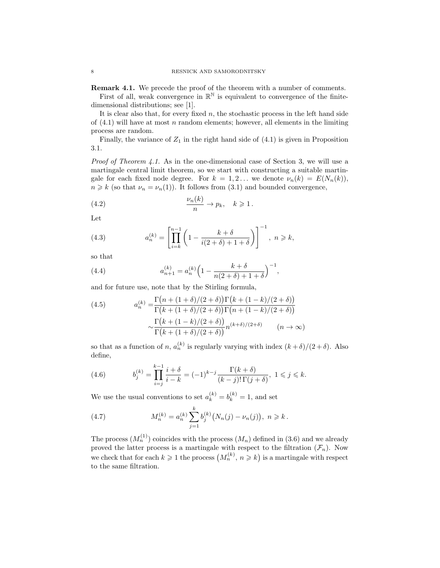Remark 4.1. We precede the proof of the theorem with a number of comments. First of all, weak convergence in  $\mathbb{R}^{\mathbb{N}}$  is equivalent to convergence of the finitedimensional distributions; see [1].

It is clear also that, for every fixed  $n$ , the stochastic process in the left hand side of  $(4.1)$  will have at most n random elements; however, all elements in the limiting process are random.

Finally, the variance of  $Z_1$  in the right hand side of  $(4.1)$  is given in Proposition 3.1.

Proof of Theorem 4.1. As in the one-dimensional case of Section 3, we will use a martingale central limit theorem, so we start with constructing a suitable martingale for each fixed node degree. For  $k = 1, 2...$  we denote  $\nu_n(k) = E(N_n(k)),$  $n \geq k$  (so that  $\nu_n = \nu_n(1)$ ). It follows from (3.1) and bounded convergence,

(4.2) 
$$
\frac{\nu_n(k)}{n} \to p_k, \quad k \geq 1.
$$

Let

(4.3) 
$$
a_n^{(k)} = \left[ \prod_{i=k}^{n-1} \left( 1 - \frac{k+\delta}{i(2+\delta)+1+\delta} \right) \right]^{-1}, \ n \geq k,
$$

so that

(4.4) 
$$
a_{n+1}^{(k)} = a_n^{(k)} \left( 1 - \frac{k + \delta}{n(2 + \delta) + 1 + \delta} \right)^{-1},
$$

and for future use, note that by the Stirling formula,

(4.5) 
$$
a_n^{(k)} = \frac{\Gamma(n + (1 + \delta)/(2 + \delta))\Gamma(k + (1 - k)/(2 + \delta))}{\Gamma(k + (1 + \delta)/(2 + \delta))\Gamma(n + (1 - k)/(2 + \delta))}
$$

$$
\sim \frac{\Gamma(k + (1 - k)/(2 + \delta))}{\Gamma(k + (1 + \delta)/(2 + \delta))} n^{(k + \delta)/(2 + \delta)} \qquad (n \to \infty)
$$

so that as a function of n,  $a_n^{(k)}$  is regularly varying with index  $(k+\delta)/(2+\delta)$ . Also define,

(4.6) 
$$
b_j^{(k)} = \prod_{i=j}^{k-1} \frac{i+\delta}{i-k} = (-1)^{k-j} \frac{\Gamma(k+\delta)}{(k-j)! \Gamma(j+\delta)}, \ 1 \le j \le k.
$$

We use the usual conventions to set  $a_k^{(k)} = b_k^{(k)} = 1$ , and set

(4.7) 
$$
M_n^{(k)} = a_n^{(k)} \sum_{j=1}^k b_j^{(k)} (N_n(j) - \nu_n(j)), \ n \geq k.
$$

The process  $(M_n^{(1)})$  coincides with the process  $(M_n)$  defined in (3.6) and we already proved the latter process is a martingale with respect to the filtration  $(\mathcal{F}_n)$ . Now we check that for each  $k \geq 1$  the process  $(M_n^{(k)}, n \geq k)$  is a martingale with respect to the same filtration.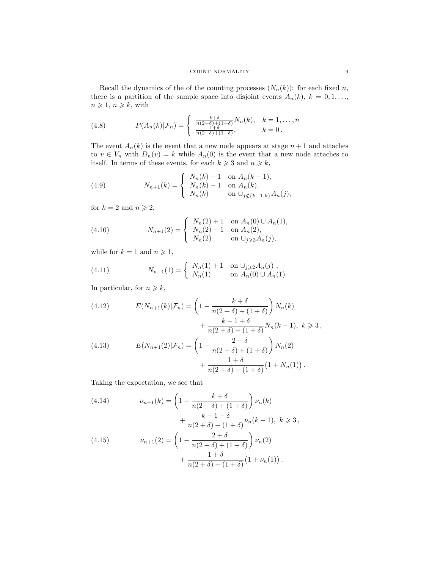Recall the dynamics of the of the counting processes  $(N_n(k))$ : for each fixed n, there is a partition of the sample space into disjoint events  $A_n(k)$ ,  $k = 0, 1, \ldots$ ,  $n \geqslant 1, n \geqslant k$ , with

(4.8) 
$$
P(A_n(k)|\mathcal{F}_n) = \begin{cases} \frac{k+\delta}{n(2+\delta)+(1+\delta)}N_n(k), & k=1,\ldots,n\\ \frac{1+\delta}{n(2+\delta)+(1+\delta)}, & k=0. \end{cases}
$$

The event  $A_n(k)$  is the event that a new node appears at stage  $n+1$  and attaches to  $v \in V_n$  with  $D_n(v) = k$  while  $A_n(0)$  is the event that a new node attaches to itself. In terms of these events, for each  $k \geq 3$  and  $n \geq k$ ,

(4.9) 
$$
N_{n+1}(k) = \begin{cases} N_n(k) + 1 & \text{on } A_n(k-1), \\ N_n(k) - 1 & \text{on } A_n(k), \\ N_n(k) & \text{on } \cup_{j \notin \{k-1, k\}} A_n(j), \end{cases}
$$

for  $k = 2$  and  $n \ge 2$ ,

(4.10) 
$$
N_{n+1}(2) = \begin{cases} N_n(2) + 1 & \text{on } A_n(0) \cup A_n(1), \\ N_n(2) - 1 & \text{on } A_n(2), \\ N_n(2) & \text{on } \cup_{j \geq 3} A_n(j), \end{cases}
$$

while for  $k = 1$  and  $n \ge 1$ ,

(4.11) 
$$
N_{n+1}(1) = \begin{cases} N_n(1) + 1 & \text{on } \cup_{j \geq 2} A_n(j), \\ N_n(1) & \text{on } A_n(0) \cup A_n(1). \end{cases}
$$

In particular, for  $n \geq k$ ,

(4.12) 
$$
E(N_{n+1}(k)|\mathcal{F}_n) = \left(1 - \frac{k+\delta}{n(2+\delta) + (1+\delta)}\right)N_n(k) + \frac{k-1+\delta}{n(2+\delta) + (1+\delta)}N_n(k-1), \ k \geqslant 3,
$$

(4.13) 
$$
E(N_{n+1}(2)|\mathcal{F}_n) = \left(1 - \frac{2+\delta}{n(2+\delta) + (1+\delta)}\right)N_n(2) + \frac{1+\delta}{n(2+\delta) + (1+\delta)}\left(1 + N_n(1)\right).
$$

Taking the expectation, we see that

(4.14) 
$$
\nu_{n+1}(k) = \left(1 - \frac{k+\delta}{n(2+\delta) + (1+\delta)}\right)\nu_n(k) + \frac{k-1+\delta}{\nu_n(k-1)}\nu_n(k-1) \quad k \geq 0
$$

$$
+\frac{\kappa-1+0}{n(2+\delta)+(1+\delta)}\nu_n(k-1), \ k \geqslant 3,
$$
\n
$$
(4.15) \qquad \nu_{n+1}(2) = \left(1 - \frac{2+\delta}{n(2+\delta)+(1+\delta)}\right)\nu_n(2)
$$

$$
n(n+1) \qquad \qquad \left( \frac{n(2+\delta) + (1+\delta)}{n(2+\delta) + (1+\delta)} \right)^{p(n+1)} + \frac{1+\delta}{n(2+\delta) + (1+\delta)} (1 + \nu_n(1)).
$$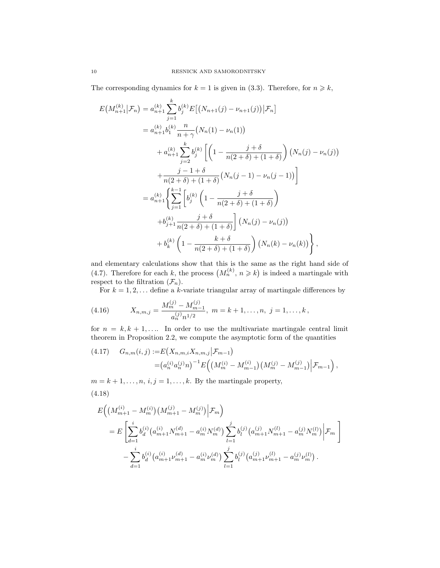The corresponding dynamics for  $k = 1$  is given in (3.3). Therefore, for  $n \geq k$ ,

$$
E(M_{n+1}^{(k)}|\mathcal{F}_n) = a_{n+1}^{(k)} \sum_{j=1}^k b_j^{(k)} E[(N_{n+1}(j) - \nu_{n+1}(j))|\mathcal{F}_n]
$$
  
\n
$$
= a_{n+1}^{(k)} b_1^{(k)} \frac{n}{n+\gamma} (N_n(1) - \nu_n(1))
$$
  
\n
$$
+ a_{n+1}^{(k)} \sum_{j=2}^k b_j^{(k)} \left[ \left( 1 - \frac{j+\delta}{n(2+\delta) + (1+\delta)} \right) (N_n(j) - \nu_n(j)) \right]
$$
  
\n
$$
+ \frac{j-1+\delta}{n(2+\delta) + (1+\delta)} (N_n(j-1) - \nu_n(j-1)) \right]
$$
  
\n
$$
= a_{n+1}^{(k)} \left\{ \sum_{j=1}^{k-1} \left[ b_j^{(k)} \left( 1 - \frac{j+\delta}{n(2+\delta) + (1+\delta)} \right) \right. \right.
$$
  
\n
$$
+ b_{j+1}^{(k)} \frac{j+\delta}{n(2+\delta) + (1+\delta)} \left[ (N_n(j) - \nu_n(j)) \right.
$$
  
\n
$$
+ b_k^{(k)} \left( 1 - \frac{k+\delta}{n(2+\delta) + (1+\delta)} \right) (N_n(k) - \nu_n(k)) \right\},
$$

and elementary calculations show that this is the same as the right hand side of (4.7). Therefore for each k, the process  $(M_n^{(k)}, n \geq k)$  is indeed a martingale with respect to the filtration  $(\mathcal{F}_n)$ .

For  $k = 1, 2, \ldots$  define a k-variate triangular array of martingale differences by

(4.16) 
$$
X_{n,m,j} = \frac{M_m^{(j)} - M_{m-1}^{(j)}}{a_n^{(j)} n^{1/2}}, \ m = k+1, \ldots, n, \ j = 1, \ldots, k,
$$

for  $n = k, k + 1, \ldots$  In order to use the multivariate martingale central limit theorem in Proposition 2.2, we compute the asymptotic form of the quantities

$$
(4.17) \tG_{n,m}(i,j) := E(X_{n,m,i}X_{n,m,j}|\mathcal{F}_{m-1})
$$
  
=  $(a_n^{(i)}a_n^{(j)}n)^{-1}E((M_m^{(i)} - M_{m-1}^{(i)})(M_m^{(j)} - M_{m-1}^{(j)})|\mathcal{F}_{m-1}),$ 

 $m = k + 1, \ldots, n, i, j = 1, \ldots, k$ . By the martingale property, (4.18)

$$
E\left((M_{m+1}^{(i)} - M_m^{(i)}) (M_{m+1}^{(j)} - M_m^{(j)}) \Big| \mathcal{F}_m\right)
$$
  
= 
$$
E\left[\sum_{d=1}^i b_d^{(i)} (a_{m+1}^{(i)} N_{m+1}^{(d)} - a_m^{(i)} N_m^{(d)}) \sum_{l=1}^j b_l^{(j)} (a_{m+1}^{(j)} N_{m+1}^{(l)} - a_m^{(j)} N_m^{(l)}) \Big| \mathcal{F}_m\right]
$$
  

$$
-\sum_{d=1}^i b_d^{(i)} (a_{m+1}^{(i)} \nu_{m+1}^{(d)} - a_m^{(i)} \nu_m^{(d)}) \sum_{l=1}^j b_l^{(j)} (a_{m+1}^{(j)} \nu_{m+1}^{(l)} - a_m^{(j)} \nu_m^{(l)}) .
$$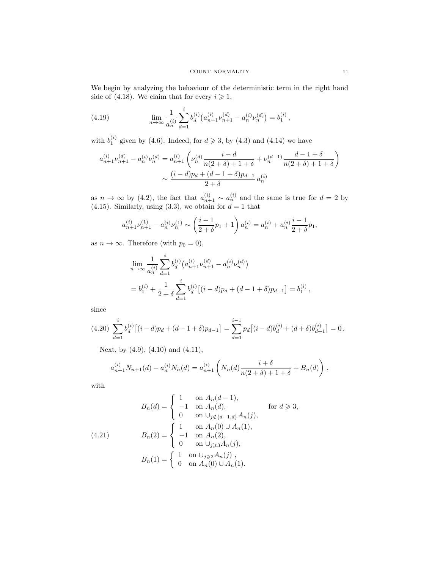We begin by analyzing the behaviour of the deterministic term in the right hand side of (4.18). We claim that for every  $i \geq 1$ ,

(4.19) 
$$
\lim_{n \to \infty} \frac{1}{a_n^{(i)}} \sum_{d=1}^i b_d^{(i)} (a_{n+1}^{(i)} \nu_{n+1}^{(d)} - a_n^{(i)} \nu_n^{(d)}) = b_1^{(i)},
$$

with  $b_1^{(i)}$  given by (4.6). Indeed, for  $d \ge 3$ , by (4.3) and (4.14) we have

$$
a_{n+1}^{(i)}\nu_{n+1}^{(d)} - a_n^{(i)}\nu_n^{(d)} = a_{n+1}^{(i)}\left(\nu_n^{(d)}\frac{i-d}{n(2+\delta)+1+\delta} + \nu_n^{(d-1)}\frac{d-1+\delta}{n(2+\delta)+1+\delta}\right)
$$

$$
\sim \frac{(i-d)p_d + (d-1+\delta)p_{d-1}}{2+\delta}a_n^{(i)}
$$

as  $n \to \infty$  by (4.2), the fact that  $a_{n+1}^{(i)} \sim a_n^{(i)}$  and the same is true for  $d = 2$  by (4.15). Similarly, using (3.3), we obtain for  $d = 1$  that

$$
a_{n+1}^{(i)}\nu_{n+1}^{(1)} - a_n^{(i)}\nu_n^{(1)} \sim \left(\frac{i-1}{2+\delta}p_1+1\right)a_n^{(i)} = a_n^{(i)} + a_n^{(i)}\frac{i-1}{2+\delta}p_1,
$$

as  $n \to \infty$ . Therefore (with  $p_0 = 0$ ),

$$
\lim_{n \to \infty} \frac{1}{a_n^{(i)}} \sum_{d=1}^i b_d^{(i)} \left( a_{n+1}^{(i)} \nu_{n+1}^{(d)} - a_n^{(i)} \nu_n^{(d)} \right)
$$
\n
$$
= b_1^{(i)} + \frac{1}{2 + \delta} \sum_{d=1}^i b_d^{(i)} \left[ (i - d) p_d + (d - 1 + \delta) p_{d-1} \right] = b_1^{(i)},
$$

since

$$
(4.20)\ \sum_{d=1}^{i} b_d^{(i)} \big[(i-d)p_d + (d-1+\delta)p_{d-1}\big] = \sum_{d=1}^{i-1} p_d \big[(i-d)b_d^{(i)} + (d+\delta)b_{d+1}^{(i)}\big] = 0\,.
$$

Next, by (4.9), (4.10) and (4.11),

$$
a_{n+1}^{(i)}N_{n+1}(d) - a_n^{(i)}N_n(d) = a_{n+1}^{(i)}\left(N_n(d)\frac{i+\delta}{n(2+\delta)+1+\delta} + B_n(d)\right),
$$

with

$$
B_n(d) = \begin{cases} 1 & \text{on } A_n(d-1), \\ -1 & \text{on } A_n(d), \\ 0 & \text{on } \bigcup_{j \notin \{d-1, d\}} A_n(j), \end{cases} \quad \text{for } d \geq 3,
$$
  
(4.21) 
$$
B_n(2) = \begin{cases} 1 & \text{on } A_n(0) \cup A_n(1), \\ -1 & \text{on } A_n(2), \\ 0 & \text{on } \bigcup_{j \geq 3} A_n(j), \end{cases}
$$

$$
B_n(1) = \begin{cases} 1 & \text{on } \bigcup_{j \geq 2} A_n(j), \\ 0 & \text{on } A_n(0) \cup A_n(1). \end{cases}
$$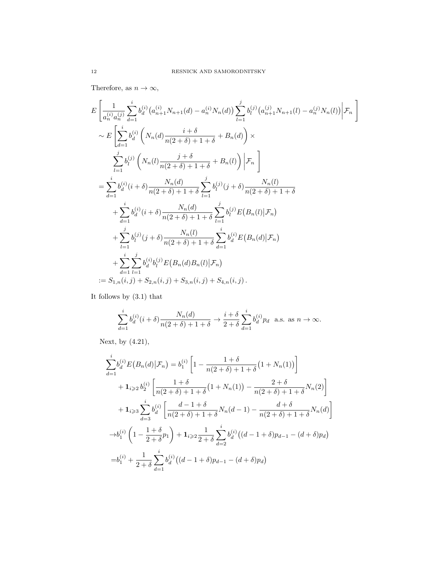Therefore, as  $n \to \infty$ ,

$$
E\left[\frac{1}{a_n^{(i)}a_n^{(j)}}\sum_{d=1}^i b_d^{(i)}(a_{n+1}^{(i)}N_{n+1}(d) - a_n^{(i)}N_n(d))\sum_{l=1}^j b_l^{(j)}(a_{n+1}^{(j)}N_{n+1}(l) - a_n^{(j)}N_n(l))\Big|\mathcal{F}_n\right] \sim E\left[\sum_{d=1}^i b_d^{(i)}\left(N_n(d)\frac{i+\delta}{n(2+\delta)+1+\delta} + B_n(d)\right) \times \sum_{l=1}^j b_l^{(j)}\left(N_n(l)\frac{j+\delta}{n(2+\delta)+1+\delta} + B_n(l)\right)\Big|\mathcal{F}_n\right]
$$
  
\n
$$
= \sum_{d=1}^i b_d^{(i)}(i+\delta)\frac{N_n(d)}{n(2+\delta)+1+\delta}\sum_{l=1}^j b_l^{(j)}(j+\delta)\frac{N_n(l)}{n(2+\delta)+1+\delta}
$$
  
\n
$$
+ \sum_{d=1}^i b_d^{(i)}(i+\delta)\frac{N_n(d)}{n(2+\delta)+1+\delta}\sum_{l=1}^j b_l^{(j)}E(B_n(l)|\mathcal{F}_n)
$$
  
\n
$$
+ \sum_{l=1}^j b_l^{(j)}(j+\delta)\frac{N_n(l)}{n(2+\delta)+1+\delta}\sum_{d=1}^i b_d^{(i)}E(B_n(d)|\mathcal{F}_n)
$$
  
\n
$$
+ \sum_{d=1}^i \sum_{l=1}^j b_d^{(i)}b_l^{(j)}E(B_n(d)B_n(l)|\mathcal{F}_n)
$$
  
\n
$$
:= S_{1,n}(i,j) + S_{2,n}(i,j) + S_{3,n}(i,j) + S_{4,n}(i,j).
$$

It follows by (3.1) that

$$
\sum_{d=1}^{i} b_d^{(i)}(i+\delta) \frac{N_n(d)}{n(2+\delta)+1+\delta} \to \frac{i+\delta}{2+\delta} \sum_{d=1}^{i} b_d^{(i)} p_d \text{ a.s. as } n \to \infty.
$$

Next, by (4.21),

$$
\sum_{d=1}^{i} b_d^{(i)} E(B_n(d) | \mathcal{F}_n) = b_1^{(i)} \left[ 1 - \frac{1+\delta}{n(2+\delta)+1+\delta} (1+N_n(1)) \right]
$$
  
+  $1_{i \geq 2} b_2^{(i)} \left[ \frac{1+\delta}{n(2+\delta)+1+\delta} (1+N_n(1)) - \frac{2+\delta}{n(2+\delta)+1+\delta} N_n(2) \right]$   
+  $1_{i \geq 3} \sum_{d=3}^{i} b_d^{(i)} \left[ \frac{d-1+\delta}{n(2+\delta)+1+\delta} N_n(d-1) - \frac{d+\delta}{n(2+\delta)+1+\delta} N_n(d) \right]$   
 $\rightarrow b_1^{(i)} \left( 1 - \frac{1+\delta}{2+\delta} p_1 \right) + 1_{i \geq 2} \frac{1}{2+\delta} \sum_{d=2}^{i} b_d^{(i)} \left( (d-1+\delta) p_{d-1} - (d+\delta) p_d \right)$   
=  $b_1^{(i)} + \frac{1}{2+\delta} \sum_{d=1}^{i} b_d^{(i)} \left( (d-1+\delta) p_{d-1} - (d+\delta) p_d \right)$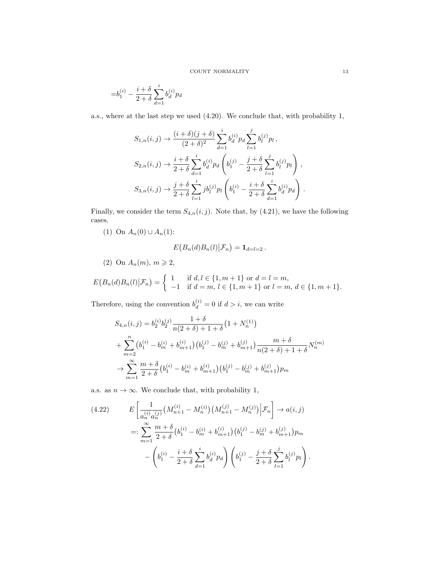$$
= \!b_1^{(i)}-\frac{i+\delta}{2+\delta}\sum_{d=1}^i b_d^{(i)} p_d
$$

a.s., where at the last step we used (4.20). We conclude that, with probability 1,

$$
S_{1,n}(i,j) \rightarrow \frac{(i+\delta)(j+\delta)}{(2+\delta)^2} \sum_{d=1}^i b_d^{(i)} p_d \sum_{l=1}^j b_l^{(j)} p_l ,
$$
  
\n
$$
S_{2,n}(i,j) \rightarrow \frac{i+\delta}{2+\delta} \sum_{d=1}^i b_d^{(i)} p_d \left( b_1^{(j)} - \frac{j+\delta}{2+\delta} \sum_{l=1}^j b_l^{(j)} p_l \right) ,
$$
  
\n
$$
S_{3,n}(i,j) \rightarrow \frac{j+\delta}{2+\delta} \sum_{l=1}^i j b_l^{(j)} p_l \left( b_1^{(i)} - \frac{i+\delta}{2+\delta} \sum_{d=1}^i b_d^{(i)} p_d \right) .
$$

Finally, we consider the term  $S_{4,n}(i, j)$ . Note that, by (4.21), we have the following cases.

(1) On  $A_n(0) \cup A_n(1)$ :

$$
E(B_n(d)B_n(l)|\mathcal{F}_n) = \mathbf{1}_{d=l=2}.
$$

(2) On  $A_n(m)$ ,  $m \geqslant 2$ ,

$$
E(B_n(d)B_n(l)|\mathcal{F}_n) = \begin{cases} 1 & \text{if } d, l \in \{1, m+1\} \text{ or } d = l = m, \\ -1 & \text{if } d = m, l \in \{1, m+1\} \text{ or } l = m, d \in \{1, m+1\}. \end{cases}
$$

Therefore, using the convention  $b_d^{(i)} = 0$  if  $d > i$ , we can write

$$
S_{4,n}(i,j) = b_2^{(i)} b_2^{(j)} \frac{1+\delta}{n(2+\delta)+1+\delta} (1+N_n^{(1)})
$$
  
+ 
$$
\sum_{m=2}^n (b_1^{(i)} - b_m^{(i)} + b_{m+1}^{(i)}) (b_1^{(j)} - b_m^{(j)} + b_{m+1}^{(j)}) \frac{m+\delta}{n(2+\delta)+1+\delta} N_n^{(m)}
$$
  
+ 
$$
\sum_{m=1}^\infty \frac{m+\delta}{2+\delta} (b_1^{(i)} - b_m^{(i)} + b_{m+1}^{(i)}) (b_1^{(j)} - b_m^{(j)} + b_{m+1}^{(j)}) p_m
$$

a.s. as  $n \to \infty$ . We conclude that, with probability 1,

$$
(4.22) \qquad E\left[\frac{1}{a_n^{(i)}a_n^{(j)}}\left(M_{n+1}^{(i)} - M_n^{(i)}\right)\left(M_{n+1}^{(j)} - M_n^{(j)}\right)\middle|\mathcal{F}_n\right] \to a(i,j)
$$
\n
$$
=:\sum_{m=1}^{\infty} \frac{m+\delta}{2+\delta} \left(b_1^{(i)} - b_m^{(i)} + b_{m+1}^{(i)}\right) \left(b_1^{(j)} - b_m^{(j)} + b_{m+1}^{(j)}\right) p_m
$$
\n
$$
-\left(b_1^{(i)} - \frac{i+\delta}{2+\delta} \sum_{d=1}^i b_d^{(i)} p_d\right) \left(b_1^{(j)} - \frac{j+\delta}{2+\delta} \sum_{l=1}^j b_l^{(j)} p_l\right).
$$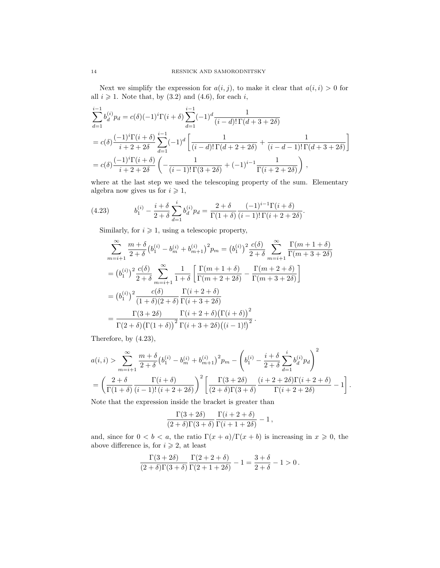Next we simplify the expression for  $a(i, j)$ , to make it clear that  $a(i, i) > 0$  for all  $i \geq 1$ . Note that, by (3.2) and (4.6), for each i,

$$
\sum_{d=1}^{i-1} b_d^{(i)} p_d = c(\delta)(-1)^i \Gamma(i+\delta) \sum_{d=1}^{i-1} (-1)^d \frac{1}{(i-d)! \Gamma(d+3+2\delta)}
$$
  
=  $c(\delta) \frac{(-1)^i \Gamma(i+\delta)}{i+2+2\delta} \sum_{d=1}^{i-1} (-1)^d \left[ \frac{1}{(i-d)! \Gamma(d+2+2\delta)} + \frac{1}{(i-d-1)! \Gamma(d+3+2\delta)} \right]$   
=  $c(\delta) \frac{(-1)^i \Gamma(i+\delta)}{i+2+2\delta} \left( -\frac{1}{(i-1)! \Gamma(3+2\delta)} + (-1)^{i-1} \frac{1}{\Gamma(i+2+2\delta)} \right)$ ,

where at the last step we used the telescoping property of the sum. Elementary algebra now gives us for  $i \geq 1$ ,

(4.23) 
$$
b_1^{(i)} - \frac{i+\delta}{2+\delta} \sum_{d=1}^i b_d^{(i)} p_d = \frac{2+\delta}{\Gamma(1+\delta)} \frac{(-1)^{i-1} \Gamma(i+\delta)}{(i-1)! \Gamma(i+2+2\delta)}.
$$

Similarly, for  $i \geqslant 1$ , using a telescopic property,

$$
\sum_{m=i+1}^{\infty} \frac{m+\delta}{2+\delta} (b_1^{(i)} - b_m^{(i)} + b_{m+1}^{(i)})^2 p_m = (b_1^{(i)})^2 \frac{c(\delta)}{2+\delta} \sum_{m=i+1}^{\infty} \frac{\Gamma(m+1+\delta)}{\Gamma(m+3+2\delta)}
$$
  
=  $(b_1^{(i)})^2 \frac{c(\delta)}{2+\delta} \sum_{m=i+1}^{\infty} \frac{1}{1+\delta} \left[ \frac{\Gamma(m+1+\delta)}{\Gamma(m+2+2\delta)} - \frac{\Gamma(m+2+\delta)}{\Gamma(m+3+2\delta)} \right]$   
=  $(b_1^{(i)})^2 \frac{c(\delta)}{(1+\delta)(2+\delta)} \frac{\Gamma(i+2+\delta)}{\Gamma(i+3+2\delta)}$   
=  $\frac{\Gamma(3+2\delta)}{\Gamma(2+\delta)(\Gamma(1+\delta))^2} \frac{\Gamma(i+2+\delta)(\Gamma(i+\delta))^2}{\Gamma(i+3+2\delta)((i-1)!)^2}.$ 

Therefore, by (4.23),

$$
\begin{split} &a(i,i) > \sum_{m=i+1}^{\infty} \frac{m+\delta}{2+\delta} \big(b_1^{(i)}-b_m^{(i)}+b_{m+1}^{(i)}\big)^2 p_m - \Bigg(b_1^{(i)}-\frac{i+\delta}{2+\delta}\sum_{d=1}^i b_d^{(i)} p_d\Bigg)^2\\ &=\left(\frac{2+\delta}{\Gamma(1+\delta)}\frac{\Gamma(i+\delta)}{(i-1)!\,(i+2+2\delta)}\right)^2 \left[\frac{\Gamma(3+2\delta)}{(2+\delta)\Gamma(3+\delta)}\frac{(i+2+2\delta)\Gamma(i+2+\delta)}{\Gamma(i+2+2\delta)}-1\right]. \end{split}
$$

Note that the expression inside the bracket is greater than

$$
\frac{\Gamma(3+2\delta)}{(2+\delta)\Gamma(3+\delta)}\frac{\Gamma(i+2+\delta)}{\Gamma(i+1+2\delta)}-1\,,
$$

and, since for  $0 < b < a$ , the ratio  $\Gamma(x + a)/\Gamma(x + b)$  is increasing in  $x \ge 0$ , the above difference is, for  $i \geq 2$ , at least

$$
\frac{\Gamma(3+2\delta)}{(2+\delta)\Gamma(3+\delta)}\frac{\Gamma(2+2+\delta)}{\Gamma(2+1+2\delta)}-1=\frac{3+\delta}{2+\delta}-1>0\,.
$$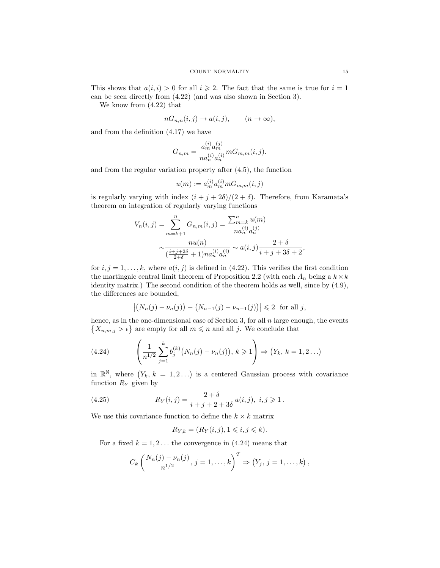This shows that  $a(i, i) > 0$  for all  $i \geq 2$ . The fact that the same is true for  $i = 1$ can be seen directly from (4.22) (and was also shown in Section 3).

We know from (4.22) that

$$
nG_{n,n}(i,j) \to a(i,j), \qquad (n \to \infty),
$$

and from the definition (4.17) we have

$$
G_{n,m} = \frac{a_m^{(i)} a_m^{(j)}}{n a_n^{(i)} a_n^{(i)}} m G_{m,m}(i,j).
$$

and from the regular variation property after (4.5), the function

$$
u(m):=a_m^{(i)}a_m^{(i)}mG_{m,m}(i,j)
$$

is regularly varying with index  $(i + j + 2\delta)/(2 + \delta)$ . Therefore, from Karamata's theorem on integration of regularly varying functions

$$
V_n(i,j) = \sum_{m=k+1}^n G_{n,m}(i,j) = \frac{\sum_{m=k}^n u(m)}{na_n^{(i)} a_n^{(j)}}
$$

$$
\sim \frac{nu(n)}{\left(\frac{i+j+2\delta}{2+\delta} + 1\right)na_n^{(i)} a_n^{(i)}} \sim a(i,j) \frac{2+\delta}{i+j+3\delta+2}
$$

for  $i, j = 1, \ldots, k$ , where  $a(i, j)$  is defined in (4.22). This verifies the first condition the martingale central limit theorem of Proposition 2.2 (with each  $A_n$  being a  $k \times k$ identity matrix.) The second condition of the theorem holds as well, since by (4.9), the differences are bounded,

$$
|(N_n(j) - \nu_n(j)) - (N_{n-1}(j) - \nu_{n-1}(j))| \le 2
$$
 for all j,

hence, as in the one-dimensional case of Section 3, for all  $n$  large enough, the events  $\{X_{n,m,j} > \epsilon\}$  are empty for all  $m \leq n$  and all j. We conclude that

(4.24) 
$$
\left(\frac{1}{n^{1/2}}\sum_{j=1}^{k}b_j^{(k)}(N_n(j)-\nu_n(j)),\,k\geqslant 1\right)\Rightarrow (Y_k,\,k=1,2\ldots)
$$

in  $\mathbb{R}^{\mathbb{N}}$ , where  $(Y_k, k = 1, 2...)$  is a centered Gaussian process with covariance function  $R_Y$  given by

(4.25) 
$$
R_Y(i,j) = \frac{2+\delta}{i+j+2+3\delta} a(i,j), \ i,j \geq 1.
$$

We use this covariance function to define the  $k \times k$  matrix

$$
R_{Y,k} = (R_Y(i,j), 1 \leq i, j \leq k).
$$

For a fixed  $k = 1, 2...$  the convergence in (4.24) means that

$$
C_k \left( \frac{N_n(j) - \nu_n(j)}{n^{1/2}}, j = 1, ..., k \right)^T \Rightarrow (Y_j, j = 1, ..., k),
$$

,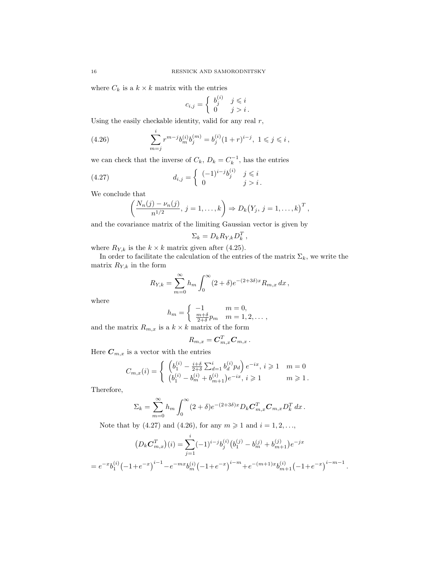where  $C_k$  is a  $k \times k$  matrix with the entries

$$
c_{i,j} = \begin{cases} b_j^{(i)} & j \leq i \\ 0 & j > i \end{cases}.
$$

Using the easily checkable identity, valid for any real  $r$ ,

(4.26) 
$$
\sum_{m=j}^{i} r^{m-j} b_m^{(i)} b_j^{(m)} = b_j^{(i)} (1+r)^{i-j}, \ 1 \le j \le i,
$$

we can check that the inverse of  $C_k$ ,  $D_k = C_k^{-1}$ , has the entries

(4.27) 
$$
d_{i,j} = \begin{cases} (-1)^{i-j}b_j^{(i)} & j \leq i \\ 0 & j > i. \end{cases}
$$

We conclude that

$$
\left(\frac{N_n(j)-\nu_n(j)}{n^{1/2}},\,j=1,\ldots,k\right)\Rightarrow D_k(Y_j,\,j=1,\ldots,k)^T,
$$

and the covariance matrix of the limiting Gaussian vector is given by

$$
\Sigma_k = D_k R_{Y,k} D_k^T,
$$

where  $R_{Y,k}$  is the  $k \times k$  matrix given after (4.25).

In order to facilitate the calculation of the entries of the matrix  $\Sigma_k$ , we write the matrix  $R_{Y,k}$  in the form

$$
R_{Y,k} = \sum_{m=0}^{\infty} h_m \int_0^{\infty} (2+\delta) e^{-(2+3\delta)x} R_{m,x} \, dx \,,
$$

where

$$
h_m = \begin{cases} -1 & m = 0, \\ \frac{m+ \delta}{2+\delta} p_m & m = 1, 2, \dots, \end{cases}
$$

and the matrix  $R_{m,x}$  is a  $k \times k$  matrix of the form

$$
R_{m,x} = \boldsymbol{C}_{m,x}^T \boldsymbol{C}_{m,x} \,.
$$

Here  $C_{m,x}$  is a vector with the entries

$$
C_{m,x}(i) = \begin{cases} \left( b_1^{(i)} - \frac{i+\delta}{2+\delta} \sum_{d=1}^i b_d^{(i)} p_d \right) e^{-ix}, i \geq 1 & m = 0 \\ \left( b_1^{(i)} - b_m^{(i)} + b_{m+1}^{(i)} \right) e^{-ix}, i \geq 1 & m \geq 1. \end{cases}
$$

Therefore,

$$
\Sigma_k = \sum_{m=0}^{\infty} h_m \int_0^{\infty} (2+\delta) e^{-(2+3\delta)x} D_k \mathbf{C}_{m,x}^T \mathbf{C}_{m,x} D_k^T dx.
$$

Note that by (4.27) and (4.26), for any  $m \ge 1$  and  $i = 1, 2, ...,$ 

$$
(D_k C_{m,x}^T)(i) = \sum_{j=1}^i (-1)^{i-j} b_j^{(i)} (b_1^{(j)} - b_m^{(j)} + b_{m+1}^{(j)}) e^{-jx}
$$
  
=  $e^{-x} b_1^{(i)} (-1 + e^{-x})^{i-1} - e^{-mx} b_m^{(i)} (-1 + e^{-x})^{i-m} + e^{-(m+1)x} b_{m+1}^{(i)} (-1 + e^{-x})^{i-m-1}$ .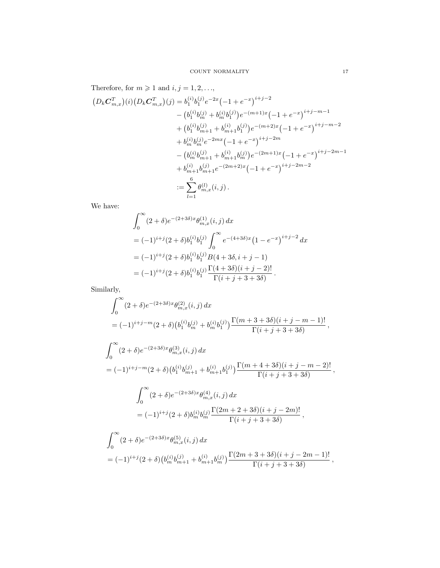Therefore, for  $m\geqslant 1$  and  $i,j=1,2,\ldots,$ 

$$
(D_k C_{m,x}^T)(i) (D_k C_{m,x}^T)(j) = b_1^{(i)} b_1^{(j)} e^{-2x} (-1 + e^{-x})^{i+j-2}
$$
  
\n
$$
- (b_1^{(i)} b_m^{(j)} + b_m^{(i)} b_1^{(j)}) e^{-(m+1)x} (-1 + e^{-x})^{i+j-m-1}
$$
  
\n
$$
+ (b_1^{(i)} b_{m+1}^{(j)} + b_{m+1}^{(i)} b_1^{(j)}) e^{-(m+2)x} (-1 + e^{-x})^{i+j-m-2}
$$
  
\n
$$
+ b_m^{(i)} b_m^{(j)} e^{-2mx} (-1 + e^{-x})^{i+j-2m}
$$
  
\n
$$
- (b_m^{(i)} b_{m+1}^{(j)} + b_{m+1}^{(i)} b_m^{(j)}) e^{-(2m+1)x} (-1 + e^{-x})^{i+j-2m-1}
$$
  
\n
$$
+ b_{m+1}^{(i)} b_m^{(j)} (-2m+2)x (-1 + e^{-x})^{i+j-2m-2}
$$
  
\n
$$
:= \sum_{l=1}^6 \theta_{m,x}^{(l)}(i,j).
$$

We have:

$$
\int_0^\infty (2+\delta)e^{-(2+3\delta)x}\theta_{m,x}^{(1)}(i,j) dx
$$
  
=  $(-1)^{i+j}(2+\delta)b_1^{(i)}b_1^{(j)}\int_0^\infty e^{-(4+3\delta)x}(1-e^{-x})^{i+j-2} dx$   
=  $(-1)^{i+j}(2+\delta)b_1^{(i)}b_1^{(j)}B(4+3\delta,i+j-1)$   
=  $(-1)^{i+j}(2+\delta)b_1^{(i)}b_1^{(j)}\frac{\Gamma(4+3\delta)(i+j-2)!}{\Gamma(i+j+3+3\delta)}.$ 

Similarly,

$$
\int_{0}^{\infty} (2+\delta)e^{-(2+3\delta)x} \theta_{m,x}^{(2)}(i,j) dx
$$
\n
$$
= (-1)^{i+j-m} (2+\delta) \left( b_{1}^{(i)} b_{m}^{(j)} + b_{m}^{(i)} b_{1}^{(j)} \right) \frac{\Gamma(m+3+3\delta)(i+j-m-1)!}{\Gamma(i+j+3+3\delta)},
$$
\n
$$
\int_{0}^{\infty} (2+\delta)e^{-(2+3\delta)x} \theta_{m,x}^{(3)}(i,j) dx
$$
\n
$$
= (-1)^{i+j-m} (2+\delta) \left( b_{1}^{(i)} b_{m+1}^{(j)} + b_{m+1}^{(i)} b_{1}^{(j)} \right) \frac{\Gamma(m+4+3\delta)(i+j-m-2)!}{\Gamma(i+j+3+3\delta)},
$$
\n
$$
\int_{0}^{\infty} (2+\delta)e^{-(2+3\delta)x} \theta_{m,x}^{(4)}(i,j) dx
$$
\n
$$
= (-1)^{i+j} (2+\delta) b_{m}^{(i)} b_{m}^{(j)} \frac{\Gamma(2m+2+3\delta)(i+j-2m)!}{\Gamma(i+j+3+3\delta)},
$$
\n
$$
\int_{0}^{\infty} (2+\delta)e^{-(2+3\delta)x} \theta_{m,x}^{(5)}(i,j) dx
$$
\n
$$
= (-1)^{i+j} (2+\delta) \left( b_{m}^{(i)} b_{m+1}^{(j)} + b_{m+1}^{(i)} b_{m}^{(j)} \right) \frac{\Gamma(2m+3+3\delta)(i+j-2m-1)!}{\Gamma(i+j+3+3\delta)},
$$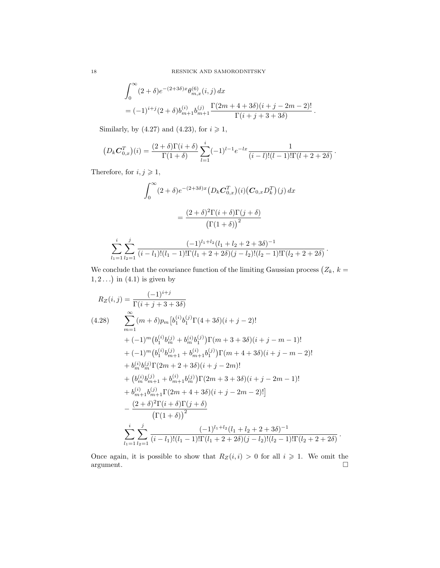$$
\begin{split} & \int_0^\infty (2+\delta) e^{-(2+3\delta)x} \theta_{m,x}^{(6)}(i,j) \, dx \\ & = (-1)^{i+j} (2+\delta) b_{m+1}^{(i)} b_{m+1}^{(j)} \frac{\Gamma(2m+4+3\delta)(i+j-2m-2)!}{\Gamma(i+j+3+3\delta)} \,. \end{split}
$$

Similarly, by (4.27) and (4.23), for  $i \geq 1$ ,

$$
(D_k C_{0,x}^T)(i) = \frac{(2+\delta)\Gamma(i+\delta)}{\Gamma(1+\delta)} \sum_{l=1}^i (-1)^{l-1} e^{-lx} \frac{1}{(i-l)!(l-1)!\Gamma(l+2+2\delta)}.
$$

Therefore, for  $i,j\geqslant 1,$ 

$$
\int_0^\infty (2+\delta)e^{-(2+3\delta)x} \left(D_k \mathbf{C}_{0,x}^T\right)(i) \left(\mathbf{C}_{0,x} D_k^T\right)(j) dx
$$

$$
= \frac{(2+\delta)^2 \Gamma(i+\delta) \Gamma(j+\delta)}{\left(\Gamma(1+\delta)\right)^2}
$$

$$
\sum_{l_1=1}^i \sum_{l_2=1}^j \frac{(-1)^{l_1+l_2} (l_1+l_2+2+3\delta)^{-1}}{(i-l_1)!(l_1-1)! \Gamma(l_1+2+2\delta)(j-l_2)!(l_2-1)! \Gamma(l_2+2+2\delta)}.
$$

We conclude that the covariance function of the limiting Gaussian process  $(Z_k, k =$  $1, 2 \ldots$ ) in  $(4.1)$  is given by

$$
R_Z(i,j) = \frac{(-1)^{i+j}}{\Gamma(i+j+3+3\delta)}
$$
\n
$$
(4.28) \sum_{m=1}^{\infty} (m+\delta)p_m \left[b_1^{(i)} b_1^{(j)} \Gamma(4+3\delta)(i+j-2)!\right]
$$
\n
$$
+ (-1)^m \left(b_1^{(i)} b_m^{(j)} + b_m^{(i)} b_1^{(j)}\right) \Gamma(m+3+3\delta)(i+j-m-1)!\right.
$$
\n
$$
+ (-1)^m \left(b_1^{(i)} b_{m+1}^{(j)} + b_{m+1}^{(i)} b_1^{(j)}\right) \Gamma(m+4+3\delta)(i+j-m-2)!\right.
$$
\n
$$
+ b_m^{(i)} b_m^{(j)} \Gamma(2m+2+3\delta)(i+j-2m)!\right.
$$
\n
$$
+ \left(b_m^{(i)} b_{m+1}^{(j)} + b_{m+1}^{(i)} b_m^{(j)}\right) \Gamma(2m+3+3\delta)(i+j-2m-1)!\right.
$$
\n
$$
+ b_{m+1}^{(i)} b_{m+1}^{(j)} \Gamma(2m+4+3\delta)(i+j-2m-2)!\right]
$$
\n
$$
- \frac{(2+\delta)^2 \Gamma(i+\delta) \Gamma(j+\delta)}{\Gamma(1+\delta)^2}
$$
\n
$$
\sum_{l_1=1}^i \sum_{l_2=1}^j \frac{(-1)^{l_1+l_2} (l_1+l_2+2+3\delta)^{-1}}{(l_1-l_1)!(l_1-1)!\Gamma(l_1+2+2\delta)(j-l_2)!(l_2-1)!\Gamma(l_2+2+2\delta)}.
$$

Once again, it is possible to show that  $R_Z(i, i) > 0$  for all  $i \geq 1$ . We omit the argument.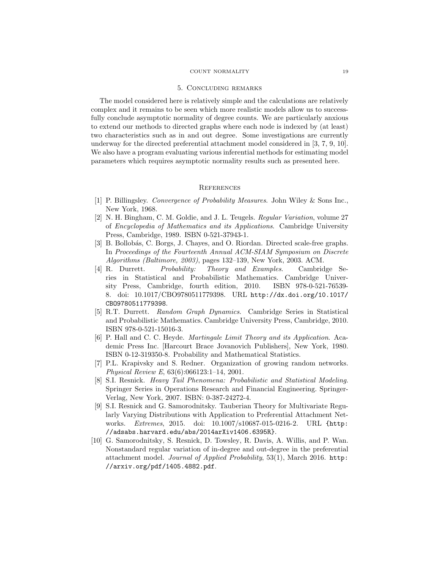#### COUNT NORMALITY 19

#### 5. Concluding remarks

The model considered here is relatively simple and the calculations are relatively complex and it remains to be seen which more realistic models allow us to successfully conclude asymptotic normality of degree counts. We are particularly anxious to extend our methods to directed graphs where each node is indexed by (at least) two characteristics such as in and out degree. Some investigations are currently underway for the directed preferential attachment model considered in [3, 7, 9, 10]. We also have a program evaluating various inferential methods for estimating model parameters which requires asymptotic normality results such as presented here.

## **REFERENCES**

- [1] P. Billingsley. Convergence of Probability Measures. John Wiley & Sons Inc., New York, 1968.
- [2] N. H. Bingham, C. M. Goldie, and J. L. Teugels. Regular Variation, volume 27 of Encyclopedia of Mathematics and its Applications. Cambridge University Press, Cambridge, 1989. ISBN 0-521-37943-1.
- [3] B. Bollobás, C. Borgs, J. Chayes, and O. Riordan. Directed scale-free graphs. In Proceedings of the Fourteenth Annual ACM-SIAM Symposium on Discrete Algorithms (Baltimore, 2003), pages 132–139, New York, 2003. ACM.
- [4] R. Durrett. Probability: Theory and Examples. Cambridge Series in Statistical and Probabilistic Mathematics. Cambridge University Press, Cambridge, fourth edition, 2010. ISBN 978-0-521-76539- 8. doi: 10.1017/CBO9780511779398. URL http://dx.doi.org/10.1017/ CBO9780511779398.
- [5] R.T. Durrett. Random Graph Dynamics. Cambridge Series in Statistical and Probabilistic Mathematics. Cambridge University Press, Cambridge, 2010. ISBN 978-0-521-15016-3.
- [6] P. Hall and C. C. Heyde. Martingale Limit Theory and its Application. Academic Press Inc. [Harcourt Brace Jovanovich Publishers], New York, 1980. ISBN 0-12-319350-8. Probability and Mathematical Statistics.
- [7] P.L. Krapivsky and S. Redner. Organization of growing random networks. Physical Review E, 63(6):066123:1–14, 2001.
- [8] S.I. Resnick. Heavy Tail Phenomena: Probabilistic and Statistical Modeling. Springer Series in Operations Research and Financial Engineering. Springer-Verlag, New York, 2007. ISBN: 0-387-24272-4.
- [9] S.I. Resnick and G. Samorodnitsky. Tauberian Theory for Multivariate Regularly Varying Distributions with Application to Preferential Attachment Networks. Extremes, 2015. doi: 10.1007/s10687-015-0216-2. URL {http: //adsabs.harvard.edu/abs/2014arXiv1406.6395R}.
- [10] G. Samorodnitsky, S. Resnick, D. Towsley, R. Davis, A. Willis, and P. Wan. Nonstandard regular variation of in-degree and out-degree in the preferential attachment model. Journal of Applied Probability, 53(1), March 2016. http: //arxiv.org/pdf/1405.4882.pdf.